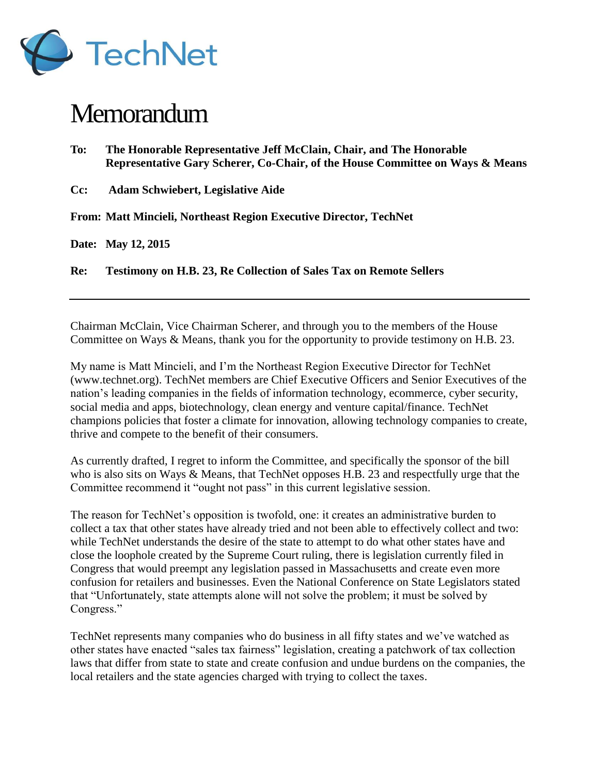

## **Memorandum**

| To:    | The Honorable Representative Jeff McClain, Chair, and The Honorable<br>Representative Gary Scherer, Co-Chair, of the House Committee on Ways & Means |
|--------|------------------------------------------------------------------------------------------------------------------------------------------------------|
| $Cc$ : | <b>Adam Schwiebert, Legislative Aide</b>                                                                                                             |
|        | From: Matt Mincieli, Northeast Region Executive Director, TechNet                                                                                    |
|        | Date: May 12, 2015                                                                                                                                   |
| Re:    | <b>Testimony on H.B. 23, Re Collection of Sales Tax on Remote Sellers</b>                                                                            |

Chairman McClain, Vice Chairman Scherer, and through you to the members of the House Committee on Ways & Means, thank you for the opportunity to provide testimony on H.B. 23.

My name is Matt Mincieli, and I'm the Northeast Region Executive Director for TechNet (www.technet.org). TechNet members are Chief Executive Officers and Senior Executives of the nation's leading companies in the fields of information technology, ecommerce, cyber security, social media and apps, biotechnology, clean energy and venture capital/finance. TechNet champions policies that foster a climate for innovation, allowing technology companies to create, thrive and compete to the benefit of their consumers.

As currently drafted, I regret to inform the Committee, and specifically the sponsor of the bill who is also sits on Ways & Means, that TechNet opposes H.B. 23 and respectfully urge that the Committee recommend it "ought not pass" in this current legislative session.

The reason for TechNet's opposition is twofold, one: it creates an administrative burden to collect a tax that other states have already tried and not been able to effectively collect and two: while TechNet understands the desire of the state to attempt to do what other states have and close the loophole created by the Supreme Court ruling, there is legislation currently filed in Congress that would preempt any legislation passed in Massachusetts and create even more confusion for retailers and businesses. Even the National Conference on State Legislators stated that "Unfortunately, state attempts alone will not solve the problem; it must be solved by Congress."

TechNet represents many companies who do business in all fifty states and we've watched as other states have enacted "sales tax fairness" legislation, creating a patchwork of tax collection laws that differ from state to state and create confusion and undue burdens on the companies, the local retailers and the state agencies charged with trying to collect the taxes.